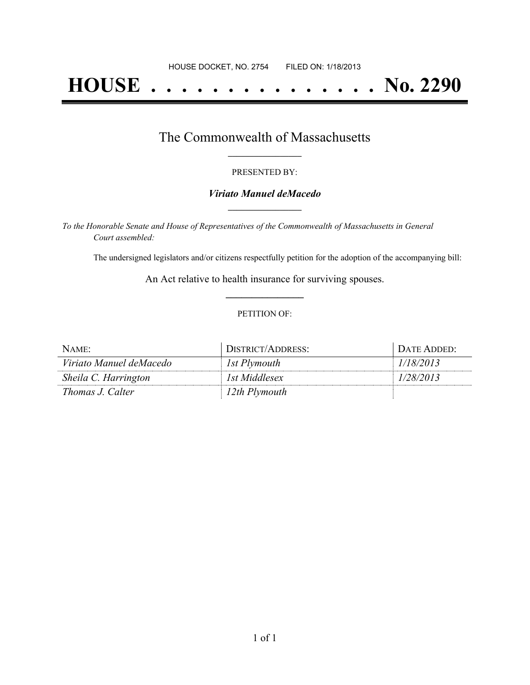# **HOUSE . . . . . . . . . . . . . . . No. 2290**

## The Commonwealth of Massachusetts **\_\_\_\_\_\_\_\_\_\_\_\_\_\_\_\_\_**

#### PRESENTED BY:

#### *Viriato Manuel deMacedo* **\_\_\_\_\_\_\_\_\_\_\_\_\_\_\_\_\_**

*To the Honorable Senate and House of Representatives of the Commonwealth of Massachusetts in General Court assembled:*

The undersigned legislators and/or citizens respectfully petition for the adoption of the accompanying bill:

An Act relative to health insurance for surviving spouses. **\_\_\_\_\_\_\_\_\_\_\_\_\_\_\_**

#### PETITION OF:

| NAME:                   | DISTRICT/ADDRESS: | DATE ADDED: |
|-------------------------|-------------------|-------------|
| Viriato Manuel deMacedo | 1st Plymouth      | 1/18/2013   |
| Sheila C. Harrington    | 1st Middlesex     | 1/28/2013   |
| Thomas J. Calter        | 12th Plymouth     |             |